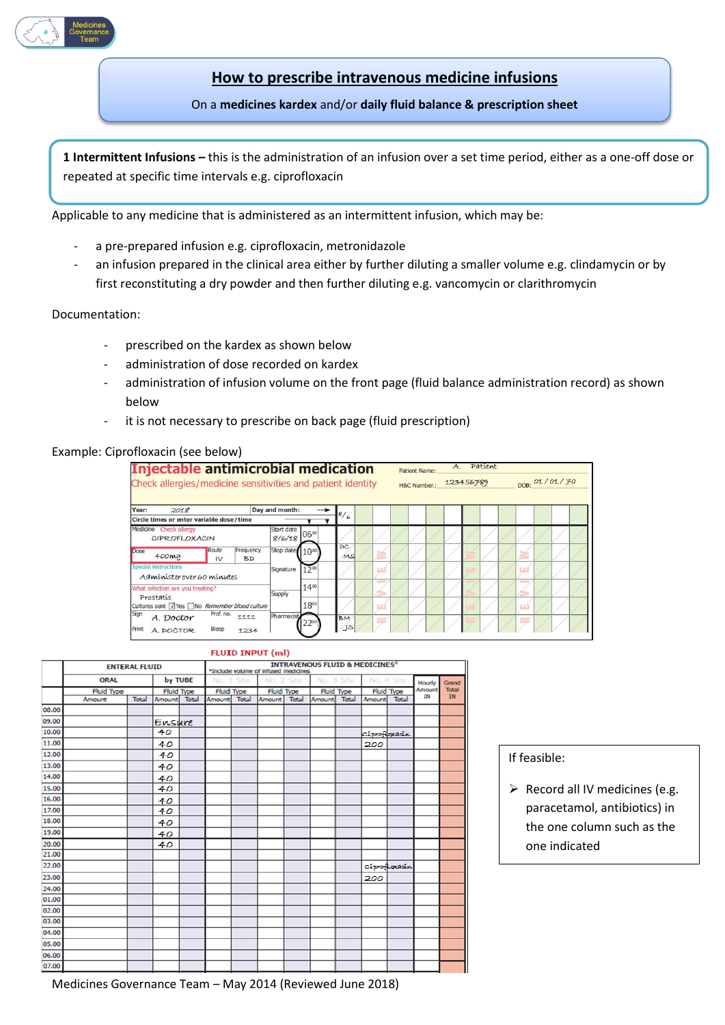

# **How to prescribe intravenous medicine infusions**

On a **medicines kardex** and/or **daily fluid balance & prescription sheet**

**1 Intermittent Infusions –** this is the administration of an infusion over a set time period, either as a one-off dose or repeated at specific time intervals e.g. ciprofloxacin

Applicable to any medicine that is administered as an intermittent infusion, which may be:

- a pre-prepared infusion e.g. ciprofloxacin, metronidazole
- an infusion prepared in the clinical area either by further diluting a smaller volume e.g. clindamycin or by first reconstituting a dry powder and then further diluting e.g. vancomycin or clarithromycin

### Documentation:

- prescribed on the kardex as shown below
- administration of dose recorded on kardex
- administration of infusion volume on the front page (fluid balance administration record) as shown below
- it is not necessary to prescribe on back page (fluid prescription)

## Example: Ciprofloxacin (see below)

| <b>Injectable antimicrobial medication</b><br>Check allergies/medicine sensitivities and patient identity |                      |           |                 | Patient Name:<br><b>H&amp;C Number.:</b> | $A_{-}$ | 123456789 | Patient |  | DOB: 01/01/70 |  |  |
|-----------------------------------------------------------------------------------------------------------|----------------------|-----------|-----------------|------------------------------------------|---------|-----------|---------|--|---------------|--|--|
| Year:<br>2018                                                                                             | Day and month:       |           |                 |                                          |         |           |         |  |               |  |  |
| Circle times or enter variable dose/time                                                                  |                      | 8/6       |                 |                                          |         |           |         |  |               |  |  |
| Medicine Check allergy<br>CIPROFLOXACIN                                                                   | Start date<br>8/6/18 | 0600      |                 |                                          |         |           |         |  |               |  |  |
| Frequency<br>Route<br><b>Dose</b><br>400mg<br><b>BD</b><br>$\mathsf{IV}$                                  | Stop date 1000       |           | DC<br>MS        |                                          |         |           |         |  |               |  |  |
| <b>Special instructions</b><br>Administer over 60 minutes                                                 | Signature            | $12^{00}$ |                 |                                          |         |           |         |  |               |  |  |
| What infection are you treating?<br>Prostatis                                                             | Supply               | 1400      |                 |                                          |         |           |         |  |               |  |  |
| Cultures sent √Yes ∩No Remember blood culture                                                             |                      | 1800      |                 |                                          |         |           |         |  |               |  |  |
| Sign<br>Prof. no.<br>1111<br>A. Doctor<br>Print<br>Bleep<br>A. DOCTOR<br>1234                             | Pharmacist           | 2200      | <b>BM</b><br>15 |                                          |         |           |         |  |               |  |  |

#### $\mathbf{r}$

|       |                   | <b>ENTERAL FLUID</b> |              |                   |                   | *Include volume of infused medicines                | <b>INTRAVENOUS FLUID &amp; MEDICINES*</b> |               |                   |                     |       |
|-------|-------------------|----------------------|--------------|-------------------|-------------------|-----------------------------------------------------|-------------------------------------------|---------------|-------------------|---------------------|-------|
|       | <b>ORAL</b>       |                      |              | by TUBE           | No. 1 Site        | No. 2 Site                                          | No. 3 Site                                |               | No. 4 Site        | <b>Hourly</b>       | Grand |
|       | <b>Fluid Type</b> |                      |              | <b>Fluid Type</b> | <b>Fluid Type</b> | <b>Fluid Type</b>                                   | <b>Fluid Type</b>                         |               | <b>Fluid Type</b> | <b>Amount</b><br>ΙN | Total |
|       | Amount            | Total                | Amount Total |                   |                   | Amount Total Amount Total Amount Total Amount Total |                                           |               |                   |                     | IN    |
| 08.00 |                   |                      |              |                   |                   |                                                     |                                           |               |                   |                     |       |
| 09.00 |                   |                      | Ensure       |                   |                   |                                                     |                                           |               |                   |                     |       |
| 10.00 |                   |                      | 40           |                   |                   |                                                     |                                           | Ciproflocaciu |                   |                     |       |
| 11.00 |                   |                      | 40           |                   |                   |                                                     |                                           | 200           |                   |                     |       |
| 12.00 |                   |                      | 40           |                   |                   |                                                     |                                           |               |                   |                     |       |
| 13.00 |                   |                      | 40           |                   |                   |                                                     |                                           |               |                   |                     |       |
| 14.00 |                   |                      | 40           |                   |                   |                                                     |                                           |               |                   |                     |       |
| 15.00 |                   |                      | 40           |                   |                   |                                                     |                                           |               |                   |                     |       |
| 16.00 |                   |                      | 40           |                   |                   |                                                     |                                           |               |                   |                     |       |
| 17.00 |                   |                      | 40           |                   |                   |                                                     |                                           |               |                   |                     |       |
| 18.00 |                   |                      | 40           |                   |                   |                                                     |                                           |               |                   |                     |       |
| 19.00 |                   |                      | 40           |                   |                   |                                                     |                                           |               |                   |                     |       |
| 20.00 |                   |                      | 40           |                   |                   |                                                     |                                           |               |                   |                     |       |
| 21.00 |                   |                      |              |                   |                   |                                                     |                                           |               |                   |                     |       |
| 22.00 |                   |                      |              |                   |                   |                                                     |                                           |               | Ciprofloxacin     |                     |       |
| 23.00 |                   |                      |              |                   |                   |                                                     |                                           | 200           |                   |                     |       |
| 24.00 |                   |                      |              |                   |                   |                                                     |                                           |               |                   |                     |       |
| 01.00 |                   |                      |              |                   |                   |                                                     |                                           |               |                   |                     |       |
| 02.00 |                   |                      |              |                   |                   |                                                     |                                           |               |                   |                     |       |
| 03.00 |                   |                      |              |                   |                   |                                                     |                                           |               |                   |                     |       |
| 04.00 |                   |                      |              |                   |                   |                                                     |                                           |               |                   |                     |       |
| 05.00 |                   |                      |              |                   |                   |                                                     |                                           |               |                   |                     |       |
| 06.00 |                   |                      |              |                   |                   |                                                     |                                           |               |                   |                     |       |
| 07.00 |                   |                      |              |                   |                   |                                                     |                                           |               |                   |                     |       |

If feasible:

 $\triangleright$  Record all IV medicines (e.g. paracetamol, antibiotics) in the one column such as the one indicated

Medicines Governance Team – May 2014 (Reviewed June 2018)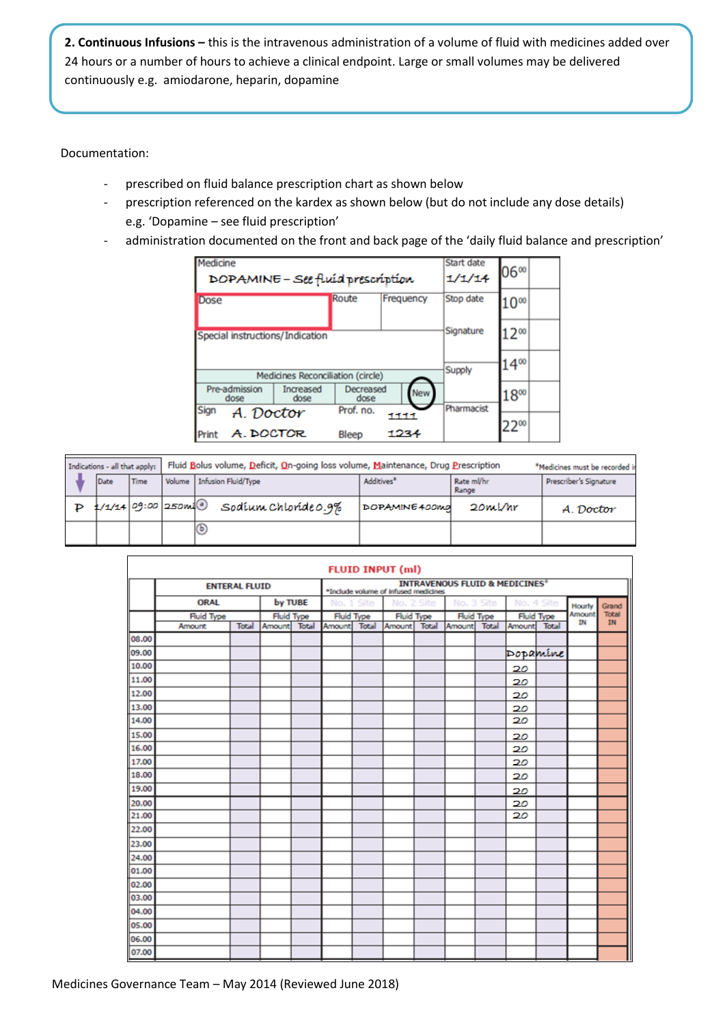**2. Continuous Infusions –** this is the intravenous administration of a volume of fluid with medicines added over 24 hours or a number of hours to achieve a clinical endpoint. Large or small volumes may be delivered continuously e.g. amiodarone, heparin, dopamine

Documentation:

- prescribed on fluid balance prescription chart as shown below
- prescription referenced on the kardex as shown below (but do not include any dose details) e.g. 'Dopamine – see fluid prescription'
- administration documented on the front and back page of the 'daily fluid balance and prescription'

| Print    | A. DOCTOR             |                                   | Bleep             | 1234                 |                  | $-22^{\circ\circ}$ |  |
|----------|-----------------------|-----------------------------------|-------------------|----------------------|------------------|--------------------|--|
| Sign     | A. Doctor             |                                   | Prof. no.         | 1111                 | Pharmacist       |                    |  |
|          | Pre-admission<br>dose | Increased<br>dose                 | Decreased<br>dose | <b>New</b>           |                  | $18^{00}$          |  |
|          |                       | Medicines Reconciliation (circle) |                   |                      | Supply           |                    |  |
|          |                       |                                   |                   |                      |                  | $4^{00}$           |  |
|          |                       | Special instructions/Indication   |                   |                      | Signature        | 200                |  |
| Dose     |                       |                                   | Route             | Frequency            | Stop date        | 0 <sup>00</sup>    |  |
| Medicine |                       | DOPAMINE – See fluíd prescríptíon |                   | Start date<br>1/1/14 | 06 <sup>oo</sup> |                    |  |

| Fluid Bolus volume, Deficit, On-going loss volume, Maintenance, Drug Prescription<br>Indications - all that apply:<br>*Medicines must be recorded in |             |  |                              |               |                    |                        |  |  |  |
|------------------------------------------------------------------------------------------------------------------------------------------------------|-------------|--|------------------------------|---------------|--------------------|------------------------|--|--|--|
| Date                                                                                                                                                 | <b>Time</b> |  | Volume   Infusion Fluid/Type | Additives*    | Rate mVhr<br>Range | Prescriber's Signature |  |  |  |
| $1/1/14$ 09:00 250ml                                                                                                                                 |             |  | Sodium Chloride0.9%          | DOPAMINE400mg | 20ml/hr            | A. Doctor              |  |  |  |
|                                                                                                                                                      |             |  | G                            |               |                    |                        |  |  |  |

|       |                   |                      |                   |                   | <b>FLUID INPUT (ml)</b>              |                   |                                                     |                     |             |
|-------|-------------------|----------------------|-------------------|-------------------|--------------------------------------|-------------------|-----------------------------------------------------|---------------------|-------------|
|       |                   | <b>ENTERAL FLUID</b> |                   |                   | *Include volume of infused medicines |                   | <b>INTRAVENOUS FLUID &amp; MEDICINES*</b>           |                     |             |
|       | <b>ORAL</b>       |                      | by TUBE           | No. 1 Site        | No. 2 Site                           | No. 3 Site        | No. 4 Site                                          | Hourly              | Grand       |
|       | <b>Fluid Type</b> |                      | <b>Fluid Type</b> | <b>Fluid Type</b> | <b>Fluid Type</b>                    | <b>Fluid Type</b> | <b>Fluid Type</b>                                   | <b>Amount</b><br>IN | Total<br>IN |
|       | Amount            | Total                | Amount Total      |                   |                                      |                   | Amount Total Amount Total Amount Total Amount Total |                     |             |
| 08.00 |                   |                      |                   |                   |                                      |                   |                                                     |                     |             |
| 09.00 |                   |                      |                   |                   |                                      |                   | Dopamine                                            |                     |             |
| 10.00 |                   |                      |                   |                   |                                      |                   | 20                                                  |                     |             |
| 11.00 |                   |                      |                   |                   |                                      |                   | 20                                                  |                     |             |
| 12.00 |                   |                      |                   |                   |                                      |                   | 20                                                  |                     |             |
| 13.00 |                   |                      |                   |                   |                                      |                   | 20                                                  |                     |             |
| 14.00 |                   |                      |                   |                   |                                      |                   | 20                                                  |                     |             |
| 15.00 |                   |                      |                   |                   |                                      |                   | 20                                                  |                     |             |
| 16.00 |                   |                      |                   |                   |                                      |                   | 20                                                  |                     |             |
| 17.00 |                   |                      |                   |                   |                                      |                   | 20                                                  |                     |             |
| 18.00 |                   |                      |                   |                   |                                      |                   | 20                                                  |                     |             |
| 19.00 |                   |                      |                   |                   |                                      |                   | 20                                                  |                     |             |
| 20.00 |                   |                      |                   |                   |                                      |                   | 20                                                  |                     |             |
| 21.00 |                   |                      |                   |                   |                                      |                   | 20                                                  |                     |             |
| 22.00 |                   |                      |                   |                   |                                      |                   |                                                     |                     |             |
| 23.00 |                   |                      |                   |                   |                                      |                   |                                                     |                     |             |
| 24.00 |                   |                      |                   |                   |                                      |                   |                                                     |                     |             |
| 01.00 |                   |                      |                   |                   |                                      |                   |                                                     |                     |             |
| 02.00 |                   |                      |                   |                   |                                      |                   |                                                     |                     |             |
| 03.00 |                   |                      |                   |                   |                                      |                   |                                                     |                     |             |
| 04.00 |                   |                      |                   |                   |                                      |                   |                                                     |                     |             |
| 05.00 |                   |                      |                   |                   |                                      |                   |                                                     |                     |             |
| 06.00 |                   |                      |                   |                   |                                      |                   |                                                     |                     |             |
| 07.00 |                   |                      |                   |                   |                                      |                   |                                                     |                     |             |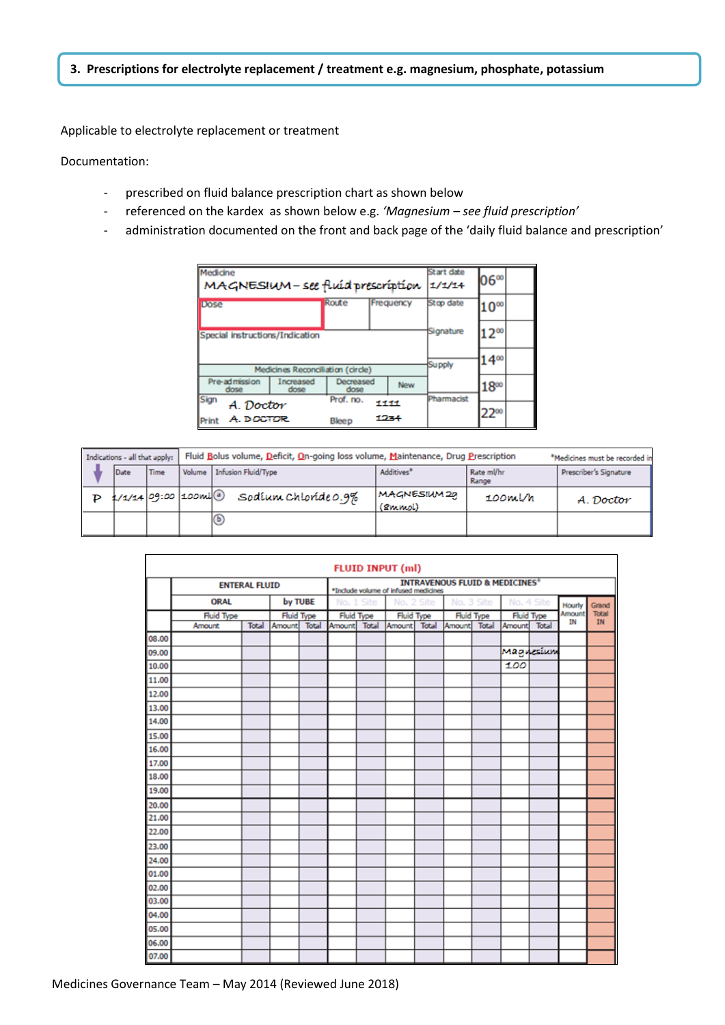# **3. Prescriptions for electrolyte replacement / treatment e.g. magnesium, phosphate, potassium**

Applicable to electrolyte replacement or treatment

Documentation:

- prescribed on fluid balance prescription chart as shown below
- referenced on the kardex as shown below e.g. *'Magnesium – see fluid prescription'*
- administration documented on the front and back page of the 'daily fluid balance and prescription'

| Medicine<br>MAGNESIUM-see fluíd prescription |                                   |                    | Start date<br>1/1/14 | $06^{\circ\circ}$ |            |                   |  |
|----------------------------------------------|-----------------------------------|--------------------|----------------------|-------------------|------------|-------------------|--|
| Dose                                         |                                   | Route              |                      | Frequency         | Stop date  | $10^{\circ\circ}$ |  |
| Special instructions/Indication              |                                   |                    |                      |                   | Signature  | ∞כ                |  |
|                                              | Medicines Reconciliation (circle) |                    |                      |                   | Supply     | 400               |  |
| Pre-admission<br>dose                        | Increased<br>dose                 | Decreased<br>dose  |                      | <b>New</b>        |            | $18^{\circ\circ}$ |  |
| Sign<br>A. Doctor<br>A. DOCTOR<br>Print      |                                   | Prof. no.<br>Bleep | 1111<br>1234         |                   | Pharmacist | 22∞               |  |

|                         | Fluid Bolus volume, Deficit, On-going loss volume, Maintenance, Drug Prescription<br>Indications - all that apply:<br>*Medicines must be recorded in |  |                              |                         |                     |                        |  |  |  |
|-------------------------|------------------------------------------------------------------------------------------------------------------------------------------------------|--|------------------------------|-------------------------|---------------------|------------------------|--|--|--|
| Date                    | <b>Time</b>                                                                                                                                          |  | Volume   Infusion Fluid/Type | Additives*              | Rate ml/hr<br>Range | Prescriber's Signature |  |  |  |
| $1/1/14$ 09:00 100mi (0 |                                                                                                                                                      |  | Sodium Chloride0.9%          | MAGNESIUM 22<br>(Bmmol) | 100ml/h             | A. Doctor              |  |  |  |
|                         |                                                                                                                                                      |  | <b>G</b>                     |                         |                     |                        |  |  |  |

|       | <b>FLUID INPUT (ml)</b> |                      |                   |         |                   |            |                                                                        |  |                                           |  |            |                   |                     |             |
|-------|-------------------------|----------------------|-------------------|---------|-------------------|------------|------------------------------------------------------------------------|--|-------------------------------------------|--|------------|-------------------|---------------------|-------------|
|       |                         | <b>ENTERAL FLUID</b> |                   |         |                   |            | *Include volume of infused medicines                                   |  | <b>INTRAVENOUS FLUID &amp; MEDICINES*</b> |  |            |                   |                     |             |
|       | <b>ORAL</b>             |                      |                   | by TUBE |                   | No. 1 Site | No. 2 Site                                                             |  | No. 3 Site                                |  | No. 4 Site |                   | <b>Hourly</b>       | Grand       |
|       | <b>Fluid Type</b>       |                      | <b>Fluid Type</b> |         | <b>Fluid Type</b> |            | <b>Fluid Type</b>                                                      |  | <b>Fluid Type</b>                         |  |            | <b>Fluid Type</b> | <b>Amount</b><br>IΝ | Total<br>IN |
|       | Amount                  |                      |                   |         |                   |            | Total Amount Total Amount Total Amount Total Amount Total Amount Total |  |                                           |  |            |                   |                     |             |
| 08.00 |                         |                      |                   |         |                   |            |                                                                        |  |                                           |  |            |                   |                     |             |
| 09.00 |                         |                      |                   |         |                   |            |                                                                        |  |                                           |  | Magnesium  |                   |                     |             |
| 10.00 |                         |                      |                   |         |                   |            |                                                                        |  |                                           |  | 100        |                   |                     |             |
| 11.00 |                         |                      |                   |         |                   |            |                                                                        |  |                                           |  |            |                   |                     |             |
| 12.00 |                         |                      |                   |         |                   |            |                                                                        |  |                                           |  |            |                   |                     |             |
| 13.00 |                         |                      |                   |         |                   |            |                                                                        |  |                                           |  |            |                   |                     |             |
| 14.00 |                         |                      |                   |         |                   |            |                                                                        |  |                                           |  |            |                   |                     |             |
| 15.00 |                         |                      |                   |         |                   |            |                                                                        |  |                                           |  |            |                   |                     |             |
| 16.00 |                         |                      |                   |         |                   |            |                                                                        |  |                                           |  |            |                   |                     |             |
| 17.00 |                         |                      |                   |         |                   |            |                                                                        |  |                                           |  |            |                   |                     |             |
| 18.00 |                         |                      |                   |         |                   |            |                                                                        |  |                                           |  |            |                   |                     |             |
| 19.00 |                         |                      |                   |         |                   |            |                                                                        |  |                                           |  |            |                   |                     |             |
| 20.00 |                         |                      |                   |         |                   |            |                                                                        |  |                                           |  |            |                   |                     |             |
| 21.00 |                         |                      |                   |         |                   |            |                                                                        |  |                                           |  |            |                   |                     |             |
| 22.00 |                         |                      |                   |         |                   |            |                                                                        |  |                                           |  |            |                   |                     |             |
| 23.00 |                         |                      |                   |         |                   |            |                                                                        |  |                                           |  |            |                   |                     |             |
| 24.00 |                         |                      |                   |         |                   |            |                                                                        |  |                                           |  |            |                   |                     |             |
| 01.00 |                         |                      |                   |         |                   |            |                                                                        |  |                                           |  |            |                   |                     |             |
| 02.00 |                         |                      |                   |         |                   |            |                                                                        |  |                                           |  |            |                   |                     |             |
| 03.00 |                         |                      |                   |         |                   |            |                                                                        |  |                                           |  |            |                   |                     |             |
| 04.00 |                         |                      |                   |         |                   |            |                                                                        |  |                                           |  |            |                   |                     |             |
| 05.00 |                         |                      |                   |         |                   |            |                                                                        |  |                                           |  |            |                   |                     |             |
| 06.00 |                         |                      |                   |         |                   |            |                                                                        |  |                                           |  |            |                   |                     |             |
| 07.00 |                         |                      |                   |         |                   |            |                                                                        |  |                                           |  |            |                   |                     |             |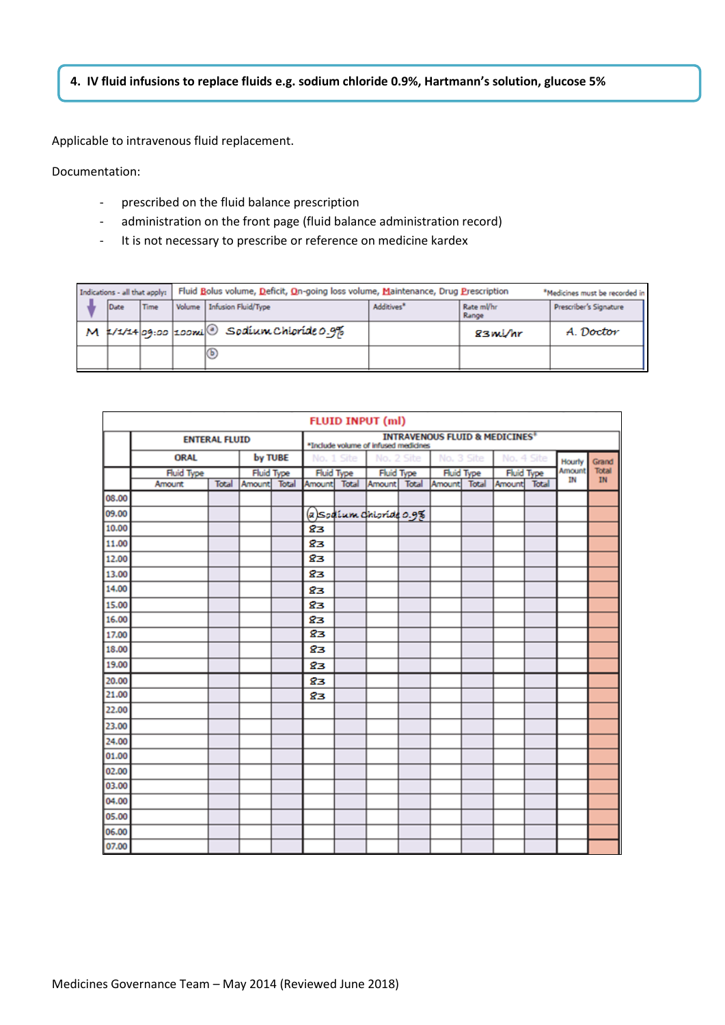**4. IV fluid infusions to replace fluids e.g. sodium chloride 0.9%, Hartmann's solution, glucose 5%**

Applicable to intravenous fluid replacement.

Documentation:

- prescribed on the fluid balance prescription
- administration on the front page (fluid balance administration record)
- It is not necessary to prescribe or reference on medicine kardex

| Indications - all that apply: |      | Fluid Bolus volume, Deficit, On-going loss volume, Maintenance, Drug Prescription<br>*Medicines must be recorded in |                                             |                        |                     |                        |  |  |  |
|-------------------------------|------|---------------------------------------------------------------------------------------------------------------------|---------------------------------------------|------------------------|---------------------|------------------------|--|--|--|
| Date                          | Time |                                                                                                                     | Volume   Infusion Fluid/Type                | Additives <sup>*</sup> | Rate ml/hr<br>Range | Prescriber's Signature |  |  |  |
|                               |      |                                                                                                                     | M 1/1/14/09:00 100mi @ Sodium Chioride 0.9% |                        | $83$ m $\sqrt{hr}$  | A. Doctor              |  |  |  |
|                               |      |                                                                                                                     |                                             |                        |                     |                        |  |  |  |

|       |                   |                      |              |                   |    |                   | <b>FLUID INPUT (ml)</b>              |                                           |                   |              |                   |                     |             |
|-------|-------------------|----------------------|--------------|-------------------|----|-------------------|--------------------------------------|-------------------------------------------|-------------------|--------------|-------------------|---------------------|-------------|
|       |                   | <b>ENTERAL FLUID</b> |              |                   |    |                   | *Include volume of infused medicines | <b>INTRAVENOUS FLUID &amp; MEDICINES*</b> |                   |              |                   |                     |             |
|       | <b>ORAL</b>       |                      |              | by TUBE           |    | No. 1 Site        | No. 2 Site                           | No. 3 Site                                |                   | No. 4 Site   |                   | Hourly              | Grand       |
|       | <b>Fluid Type</b> |                      |              | <b>Fluid Type</b> |    | <b>Fluid Type</b> | <b>Fluid Type</b>                    |                                           | <b>Fluid Type</b> |              | <b>Fluid Type</b> | <b>Amount</b><br>IN | Total<br>IN |
|       | Amount            | Total                | Amount Total |                   |    |                   | Amount Total Amount Total            | Amount Total                              |                   | Amount Total |                   |                     |             |
| 08.00 |                   |                      |              |                   |    |                   |                                      |                                           |                   |              |                   |                     |             |
| 09.00 |                   |                      |              |                   |    |                   | (a)Sodíum Chioríado.9%               |                                           |                   |              |                   |                     |             |
| 10.00 |                   |                      |              |                   | 83 |                   |                                      |                                           |                   |              |                   |                     |             |
| 11.00 |                   |                      |              |                   | 83 |                   |                                      |                                           |                   |              |                   |                     |             |
| 12.00 |                   |                      |              |                   | 83 |                   |                                      |                                           |                   |              |                   |                     |             |
| 13.00 |                   |                      |              |                   | 83 |                   |                                      |                                           |                   |              |                   |                     |             |
| 14.00 |                   |                      |              |                   | 83 |                   |                                      |                                           |                   |              |                   |                     |             |
| 15.00 |                   |                      |              |                   | 83 |                   |                                      |                                           |                   |              |                   |                     |             |
| 16.00 |                   |                      |              |                   | 83 |                   |                                      |                                           |                   |              |                   |                     |             |
| 17.00 |                   |                      |              |                   | 83 |                   |                                      |                                           |                   |              |                   |                     |             |
| 18.00 |                   |                      |              |                   | 83 |                   |                                      |                                           |                   |              |                   |                     |             |
| 19.00 |                   |                      |              |                   | 83 |                   |                                      |                                           |                   |              |                   |                     |             |
| 20.00 |                   |                      |              |                   | 83 |                   |                                      |                                           |                   |              |                   |                     |             |
| 21.00 |                   |                      |              |                   | 83 |                   |                                      |                                           |                   |              |                   |                     |             |
| 22.00 |                   |                      |              |                   |    |                   |                                      |                                           |                   |              |                   |                     |             |
| 23.00 |                   |                      |              |                   |    |                   |                                      |                                           |                   |              |                   |                     |             |
| 24.00 |                   |                      |              |                   |    |                   |                                      |                                           |                   |              |                   |                     |             |
| 01.00 |                   |                      |              |                   |    |                   |                                      |                                           |                   |              |                   |                     |             |
| 02.00 |                   |                      |              |                   |    |                   |                                      |                                           |                   |              |                   |                     |             |
| 03.00 |                   |                      |              |                   |    |                   |                                      |                                           |                   |              |                   |                     |             |
| 04.00 |                   |                      |              |                   |    |                   |                                      |                                           |                   |              |                   |                     |             |
| 05.00 |                   |                      |              |                   |    |                   |                                      |                                           |                   |              |                   |                     |             |
| 06.00 |                   |                      |              |                   |    |                   |                                      |                                           |                   |              |                   |                     |             |
| 07.00 |                   |                      |              |                   |    |                   |                                      |                                           |                   |              |                   |                     |             |